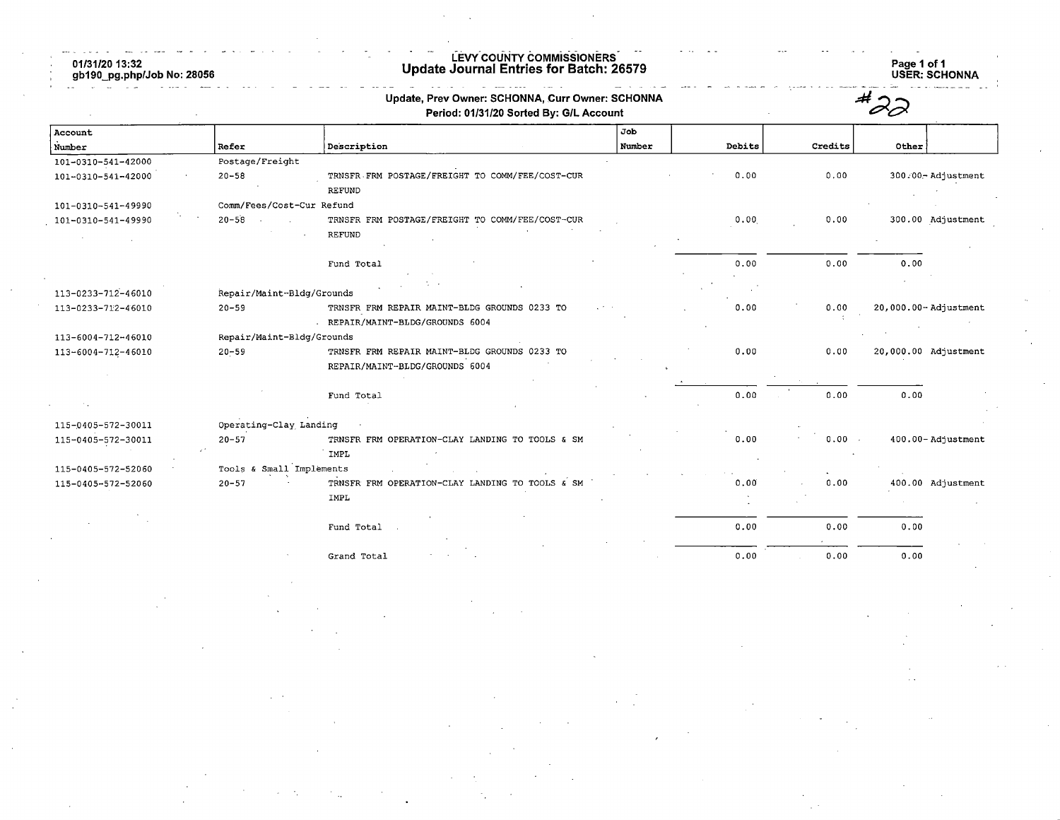01/31/20 13:32 gb190\_pg.php/Job No: 28056

## LEVY COUNTY COWIMISSIONERS Update Journal Entries for Batch: 26579 Page 1 of 1

Page 1 of 1<br>USER: SCHONNA

|                    |                           | Update, Prev Owner: SCHONNA, Curr Owner: SCHONNA<br>Period: 01/31/20 Sorted By: G/L Account |        |        |         |                      |
|--------------------|---------------------------|---------------------------------------------------------------------------------------------|--------|--------|---------|----------------------|
| Account            |                           |                                                                                             | Job    |        |         |                      |
| Number             | Refer                     | Description                                                                                 | Number | Debits | Credits | Other                |
| 101-0310-541-42000 | Postage/Freight           |                                                                                             |        |        |         |                      |
| 101-0310-541-42000 | $20 - 58$                 | TRNSFR FRM POSTAGE/FREIGHT TO COMM/FEE/COST-CUR                                             |        | 0.00   | 0.00    | 300.00-Adjustment    |
|                    |                           | <b>REFUND</b>                                                                               |        |        |         |                      |
| 101-0310-541-49990 | Comm/Fees/Cost-Cur Refund |                                                                                             |        |        |         |                      |
| 101-0310-541-49990 | $20 - 58$                 | TRNSFR FRM POSTAGE/FREIGHT TO COMM/FEE/COST-CUR                                             |        | 0.00   | 0.00    | 300.00 Adjustment    |
|                    |                           | REFUND                                                                                      |        |        |         |                      |
|                    |                           | Fund Total                                                                                  |        | 0.00   | 0.00    | 0.00                 |
|                    |                           |                                                                                             |        |        |         |                      |
| 113-0233-712-46010 | Repair/Maint-Bldg/Grounds |                                                                                             |        |        |         |                      |
| 113-0233-712-46010 | $20 - 59$                 | TRNSFR FRM REPAIR MAINT-BLDG GROUNDS 0233 TO                                                |        | 0.00   | 0.00    | 20,000.00-Adjustment |
|                    |                           | REPAIR/MAINT-BLDG/GROUNDS 6004                                                              |        |        |         |                      |
| 113-6004-712-46010 | Repair/Maint-Bldg/Grounds |                                                                                             |        |        |         |                      |
| 113-6004-712-46010 | $20 - 59$                 | TRNSFR FRM REPAIR MAINT-BLDG GROUNDS 0233 TO                                                |        | 0.00   | 0.00    | 20,000.00 Adjustment |
|                    |                           | REPAIR/MAINT-BLDG/GROUNDS 6004                                                              |        |        |         |                      |
|                    |                           |                                                                                             |        |        |         |                      |
|                    |                           | Fund Total                                                                                  |        | 0.00   | 0.00    | 0.00                 |
|                    |                           |                                                                                             |        |        |         |                      |
| 115-0405-572-30011 | Operating-Clay Landing    |                                                                                             |        |        |         |                      |
| 115-0405-572-30011 | $20 - 57$                 | TRNSFR FRM OPERATION-CLAY LANDING TO TOOLS & SM                                             |        | 0.00   | 0.00    | 400.00-Adjustment    |
|                    |                           | IMPL                                                                                        |        |        |         |                      |
| 115-0405-572-52060 | Tools & Small Implements  |                                                                                             |        |        |         |                      |
| 115-0405-572-52060 | $20 - 57$                 | TRNSFR FRM OPERATION-CLAY LANDING TO TOOLS & SM                                             |        | 0.00   | 0.00    | 400.00 Adjustment    |
|                    |                           | IMPL                                                                                        |        |        |         |                      |
|                    |                           |                                                                                             |        |        |         |                      |
|                    |                           | Fund Total                                                                                  |        | 0.00   | 0.00    | 0.00                 |
|                    |                           |                                                                                             |        |        |         |                      |
|                    |                           | Grand Total                                                                                 |        | 0.00   | 0.00    | 0.00                 |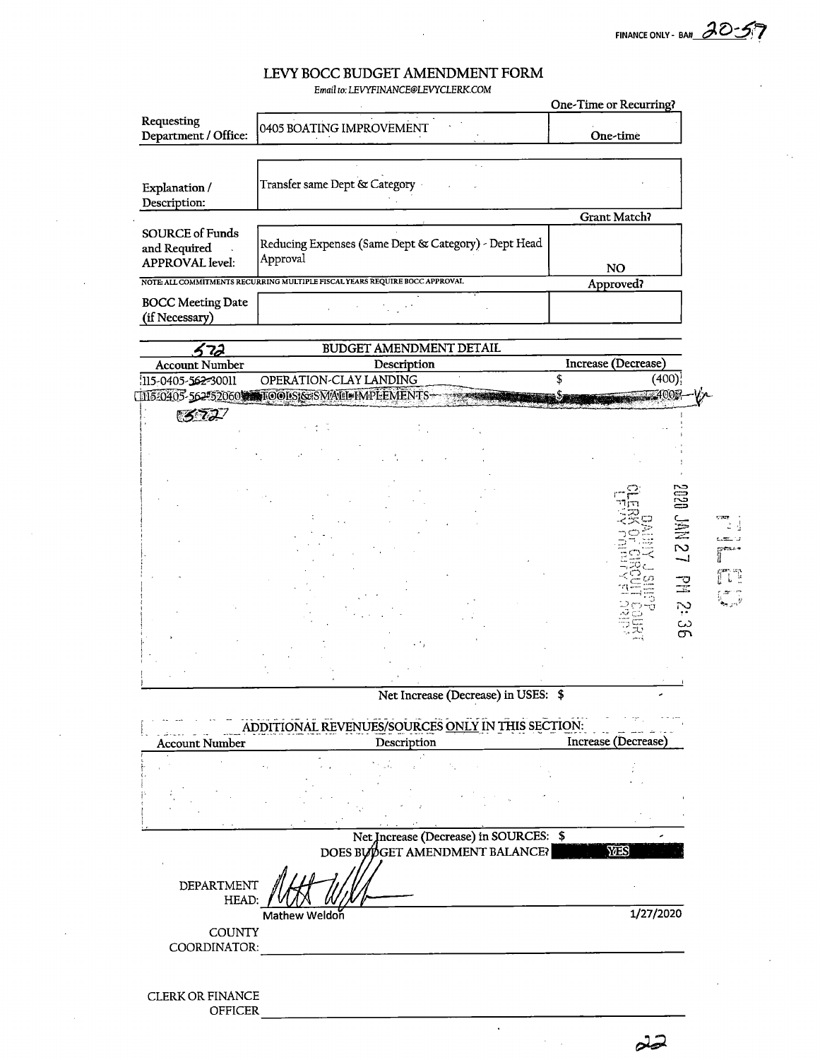FINANCE ONLY - BA#\_ I

## LEVY BOCC BUDGET AMENDMENT FORM

Email to: LEVTFINANCE@LEVYCLERK.COM

|                                                                  |                                                                             | One-Time or Recurring? |
|------------------------------------------------------------------|-----------------------------------------------------------------------------|------------------------|
| Requesting<br>Department / Office:                               | 0405 BOATING IMPROVEMENT                                                    | One-time               |
|                                                                  | $\mathbf{r}=\mathbf{r}$                                                     |                        |
| Explanation /<br>Description:                                    | Transfer same Dept & Category                                               |                        |
|                                                                  |                                                                             | <b>Grant Match?</b>    |
| <b>SOURCE of Funds</b><br>and Required<br><b>APPROVAL</b> level: | Reducing Expenses (Same Dept & Category) - Dept Head<br>Approval            | NO.                    |
|                                                                  | NOTE: ALL COMMITMENTS RECURRING MULTIPLE FISCAL YEARS REQUIRE BOCC APPROVAL | Approved?              |
| <b>BOCC Meeting Date</b><br>(if Necessary)                       | and the company of the company                                              |                        |
|                                                                  |                                                                             |                        |
| 72                                                               | BUDGET AMENDMENT DETAIL                                                     |                        |
| Account Number                                                   | Description                                                                 | Increase (Decrease)    |

| 115-0405-562-30011 | OPERATION-CLAY LANDING                        |   | (400)               |
|--------------------|-----------------------------------------------|---|---------------------|
|                    | 11520405-562-52060 Toolst GeSMATELMPLEMENTS   |   |                     |
| 322                |                                               |   |                     |
|                    |                                               |   |                     |
|                    |                                               |   | <b>2020</b>         |
|                    |                                               |   | NWC<br>$\mathbf{v}$ |
|                    |                                               |   | 곺                   |
|                    |                                               |   | يبز<br>ပ္ပ          |
|                    |                                               |   |                     |
|                    | $N = 1$ terms.<br>X, Y, Z, Y, Z<br>$\sqrt{D}$ | œ |                     |

Net Increase (Decrease) in USES: \$

 $\mathcal{A}^{\pm}$ 

 $\bar{z}$ 

| <b>Account Number</b>         | Description   |                                | Increase (Decrease) |
|-------------------------------|---------------|--------------------------------|---------------------|
|                               | ÷.ú           |                                |                     |
|                               |               |                                |                     |
| DEPARTMENT<br>HEAD:           | Mathew Weldon | DOES BUDGET AMENDMENT BALANCE? | YÆS<br>1/27/2020    |
| <b>COUNTY</b><br>COORDINATOR: |               |                                |                     |
| <b>CLERK OR FINANCE</b>       |               |                                |                     |

OFFICER

 $22$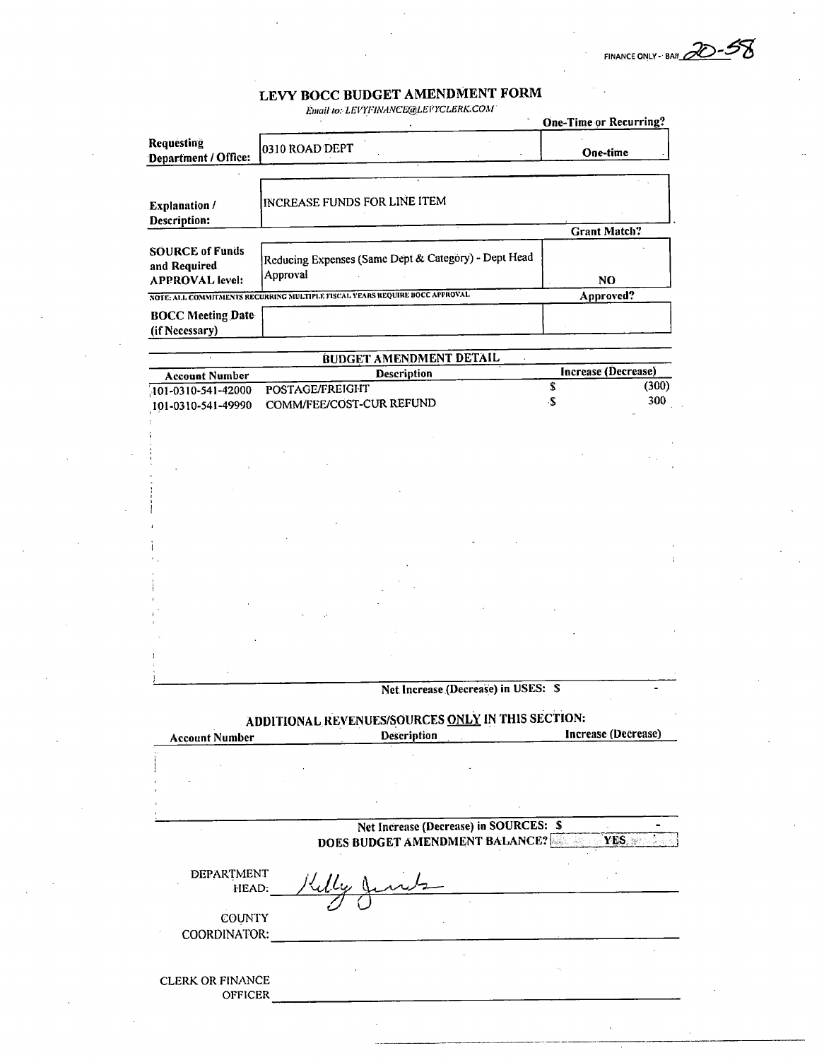FINANCE ONLY - BA#

## LEVY BOCC BUDGET AMENDMENT FORM

Email to: LEVYFINANCE@LEi'rCLERK.COM

|                            |                                                                             | One-Time or Recurring?     |       |
|----------------------------|-----------------------------------------------------------------------------|----------------------------|-------|
| Requesting                 | 0310 ROAD DEPT                                                              | One-time                   |       |
| Department / Office:       |                                                                             |                            |       |
|                            |                                                                             |                            |       |
| <b>Explanation</b> /       | INCREASE FUNDS FOR LINE ITEM                                                |                            |       |
| <b>Description:</b>        |                                                                             |                            |       |
|                            |                                                                             | <b>Grant Match?</b>        |       |
| <b>SOURCE of Funds</b>     |                                                                             |                            |       |
| and Required               | Reducing Expenses (Same Dept & Category) - Dept Head                        |                            |       |
| <b>APPROVAL</b> level:     | Approval                                                                    | N <sub>O</sub>             |       |
|                            | NOTE: ALL COMMITMENTS RECURRING MULTIPLE FISCAL VEARS REQUIRE BOCC APPROVAL | Approved?                  |       |
| <b>BOCC Meeting Date</b>   |                                                                             |                            |       |
| (if Necessary)             |                                                                             |                            |       |
|                            |                                                                             |                            |       |
|                            | <b>BUDGET AMENDMENT DETAIL</b>                                              |                            |       |
| <b>Account Number</b>      | <b>Description</b>                                                          | <b>Increase (Decrease)</b> |       |
| $101 - 0310 - 541 - 42000$ | POSTAGE/FREIGHT                                                             | $\overline{\mathbf{s}}$    | (300) |
| 101-0310-541-49990         | COMM/FEE/COST-CUR REFUND                                                    | $\mathbf{S}$               | 300   |
|                            |                                                                             |                            |       |
|                            |                                                                             |                            |       |
|                            |                                                                             |                            |       |
|                            |                                                                             |                            |       |
|                            |                                                                             |                            |       |
|                            |                                                                             |                            |       |
|                            |                                                                             |                            |       |
|                            |                                                                             |                            |       |
|                            |                                                                             |                            |       |
|                            |                                                                             |                            |       |
|                            |                                                                             |                            |       |
|                            |                                                                             |                            |       |
|                            |                                                                             |                            |       |
|                            |                                                                             |                            |       |
|                            |                                                                             |                            |       |
|                            |                                                                             |                            |       |
|                            |                                                                             |                            |       |
|                            | Net Increase (Decrease) in USES: S                                          |                            |       |
|                            |                                                                             |                            |       |
|                            | ADDITIONAL REVENUES/SOURCES ONLY IN THIS SECTION:                           |                            |       |
| <b>Account Number</b>      | Description                                                                 | <b>Increase (Decrease)</b> |       |
|                            |                                                                             |                            |       |
|                            |                                                                             |                            |       |
|                            |                                                                             |                            |       |
|                            |                                                                             |                            |       |
|                            |                                                                             |                            |       |
|                            | Net Increase (Decrease) in SOURCES: \$                                      |                            |       |
|                            | DOES BUDGET AMENDMENT BALANCE?                                              | YES.                       |       |
|                            |                                                                             |                            |       |
| DEPARTMENT                 |                                                                             |                            |       |
| HEAD:                      |                                                                             |                            |       |
|                            |                                                                             |                            |       |
| COUNTY                     |                                                                             |                            |       |
| COORDINATOR:               |                                                                             |                            |       |
|                            |                                                                             |                            |       |
|                            |                                                                             |                            |       |
| <b>CLERK OR FINANCE</b>    |                                                                             |                            |       |
| <b>OFFICER</b>             |                                                                             |                            |       |
|                            |                                                                             |                            |       |